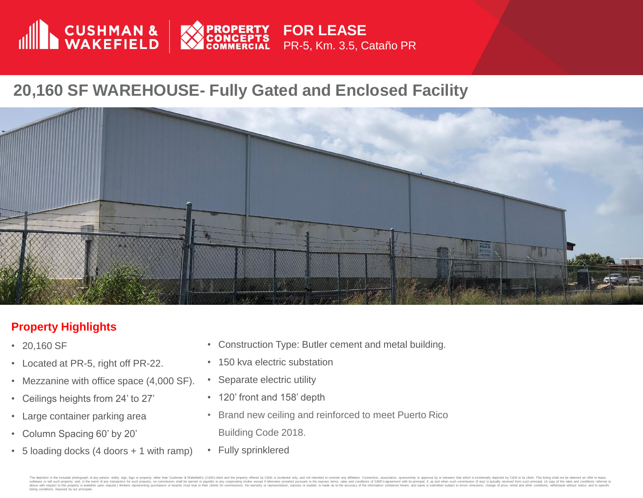

## **20,160 SF WAREHOUSE- Fully Gated and Enclosed Facility**



## **Property Highlights**

- 20,160 SF
- Located at PR-5, right off PR-22.
- Mezzanine with office space (4,000 SF).
- Ceilings heights from 24' to 27'
- Large container parking area
- Column Spacing 60' by 20'
- 5 loading docks (4 doors + 1 with ramp)
- Construction Type: Butler cement and metal building.
- 150 kva electric substation
- Separate electric utility
- 120' front and 158' depth
- Brand new ceiling and reinforced to meet Puerto Rico Building Code 2018.
- Fully sprinklered

in the included photograph of any person, entity, sign, logo or property, other than Cushman & Wakefield's (C&W) client and the property offered by C&W, is incidental only, and not intended to connote any affiliation. Conn subsect on the exposity, and, it has even of any transaction for such properly, no comission shall be annels be an any cooperation be and or produced presentation, because in the exposed including the expose of method is m listing conditions, imposed by our principals.